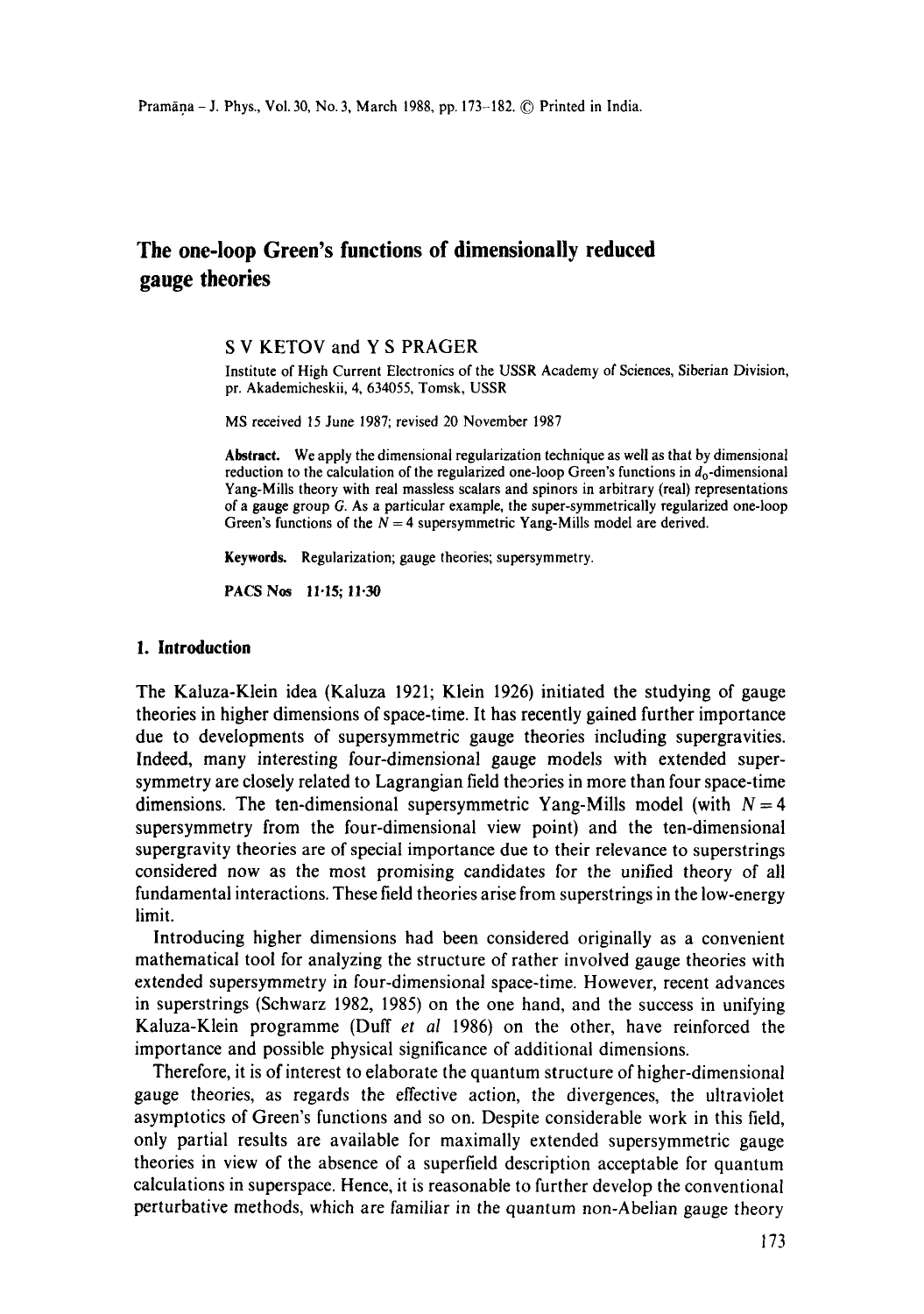# **The one-loop Green's functions of dimensionally reduced gauge theories**

#### S V KETOV and Y S PRAGER

Institute of High Current Electronics of the USSR Academy of Sciences, Siberian Division, pr. Akademicheskii, 4, 634055, Tomsk, USSR

MS received 15 June 1987; revised 20 November 1987

Abstract. We apply the dimensional regularization technique as well as that by dimensional reduction to the calculation of the regularized one-loop Green's functions in  $d_0$ -dimensional Yang-Mills theory with real massless scalars and spinors in arbitrary (real) representations of a gauge group G. As a particular example, the super-symmetrically regularized one-loop Green's functions of the  $N = 4$  supersymmetric Yang-Mills model are derived.

**Keywords.** Regularization; gauge theories; supersymmetry.

PACS Nos 11.15; 11.30

#### **1. Introduction**

The Kaluza-Klein idea (Kaluza 1921; Klein 1926) initiated the studying of gauge theories in higher dimensions of space-time. It has recently gained further importance due to developments of supersymmetric gauge theories including supergravities. Indeed, many interesting four-dimensional gauge models with extended supersymmetry are closely related to Lagrangian field theories in more than four space-time dimensions. The ten-dimensional supersymmetric Yang-Mills model (with  $N = 4$ ) supersymmetry from the four-dimensional view point) and the ten-dimensional supergravity theories are of special importance due to their relevance to superstrings considered now as the most promising candidates for the unified theory of all fundamental interactions. These field theories arise from superstrings in the low-energy limit.

Introducing higher dimensions had been considered originally as a convenient mathematical tool for analyzing the structure of rather involved gauge theories with extended supersymmetry in four-dimensional space-time. However, recent advances in superstrings (Schwarz 1982, 1985) on the one hand, and the success in unifying Kaluza-Klein programme (Duff *et al* 1986) on the other, have reinforced the importance and possible physical significance of additional dimensions.

Therefore, it is of interest to elaborate the quantum structure of higher-dimensional gauge theories, as regards the effective action, the divergences, the ultraviolet asymptotics of Green's functions and so on. Despite considerable work in this field, only partial results are available for maximally extended supersymmetric gauge theories in view of the absence of a superfield description acceptable for quantum calculations in superspace. Hence, it is reasonable to further develop the conventional perturbative methods, which are familiar in the quantum non-Abelian gauge theory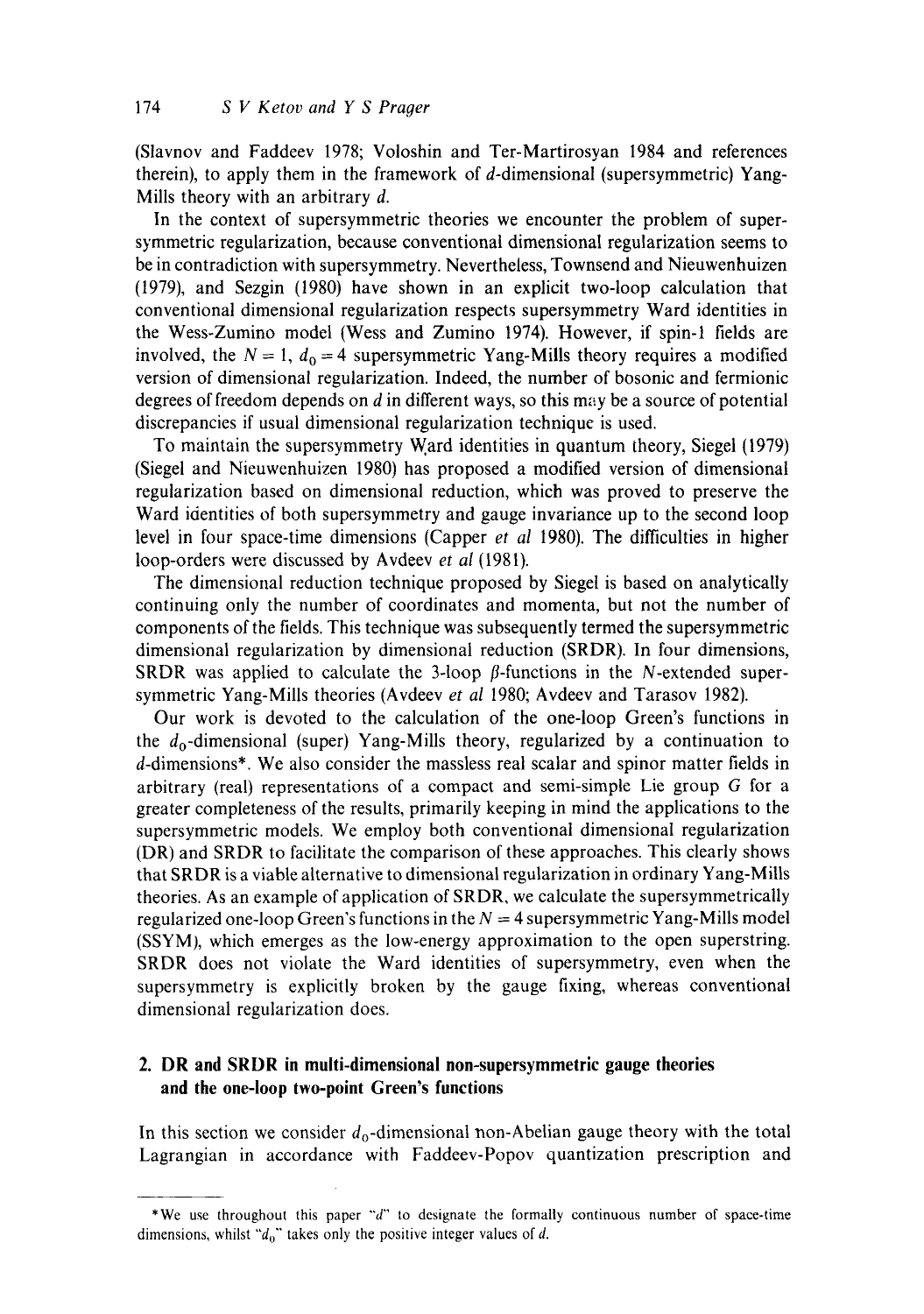(Slavnov and Faddeev 1978; Voloshin and Ter-Martirosyan 1984 and references therein), to apply them in the framework of d-dimensional (supersymmetric) Yang-Mills theory with an arbitrary d.

In the context of supersymmetric theories we encounter the problem of supersymmetric regularization, because conventional dimensional regularization seems to be in contradiction with supersymmetry. Nevertheless, Townsend and Nieuwenhuizen (1979), and Sezgin (1980) have shown in an explicit two-loop calculation that conventional dimensional regularization respects supersymmetry Ward identities in the Wess-Zumino model (Wess and Zumino 1974). However, if spin-I fields are involved, the  $N = 1$ ,  $d_0 = 4$  supersymmetric Yang-Mills theory requires a modified version of dimensional regularization. Indeed, the number of bosonic and fermionic degrees of freedom depends on  $d$  in different ways, so this may be a source of potential discrepancies if usual dimensional regularization technique is used.

To maintain the supersymmetry Ward identities in quantum theory, Siegel (1979) (Siegel and Nieuwenhuizen 1980) has proposed a modified version of dimensional regularization based on dimensional reduction, which was proved to preserve the Ward identities of both supersymmetry and gauge invariance up to the second loop level in four space-time dimensions (Capper *et al* 1980). The difficulties in higher loop-orders were discussed by Avdeev *et al* (1981).

The dimensional reduction technique proposed by Siegel is based on analytically continuing only the number of coordinates and momenta, but not the number of components of the fields. This technique was subsequently termed the supersymmetric dimensional regularization by dimensional reduction (SRDR). In four dimensions, SRDR was applied to calculate the 3-loop  $\beta$ -functions in the N-extended supersymmetric Yang-Mills theories (Avdeev *et al* 1980; Avdeev and Tarasov 1982).

Our work is devoted to the calculation of the one-loop Green's functions in the  $d_0$ -dimensional (super) Yang-Mills theory, regularized by a continuation to d-dimensions\*. We also consider the massless real scalar and spinor matter fields in arbitrary (real) representations of a compact and semi-simple Lie group G for a greater completeness of the results, primarily keeping in mind the applications to the supersymmetric models. We employ both conventional dimensional regularization (DR) and SRDR to facilitate the comparison of these approaches. This clearly shows that SRDR is a viable alternative to dimensional regularization in ordinary Yang-MiUs theories. As an example of application of SRDR, we calculate the supersymmetrically regularized one-loop Green's functions in the  $N = 4$  supersymmetric Yang-Mills model (SSYM), which emerges as the low-energy approximation to the open superstring. SRDR does not violate the Ward identities of supersymmetry, even when the supersymmetry is explicitly broken by the gauge fixing, whereas conventional dimensional regularization does.

## **2. DR and SRDR in multi-dimensional non-supersymmetric gauge theories and the one-loop two-point Green's functions**

In this section we consider  $d_0$ -dimensional non-Abelian gauge theory with the total Lagrangian in accordance with Faddeev-Popov quantization prescription and

<sup>\*</sup>We use throughout this paper *"'d'"* to designate the formally continuous number of space-time dimensions, whilst " $d_0$ " takes only the positive integer values of d.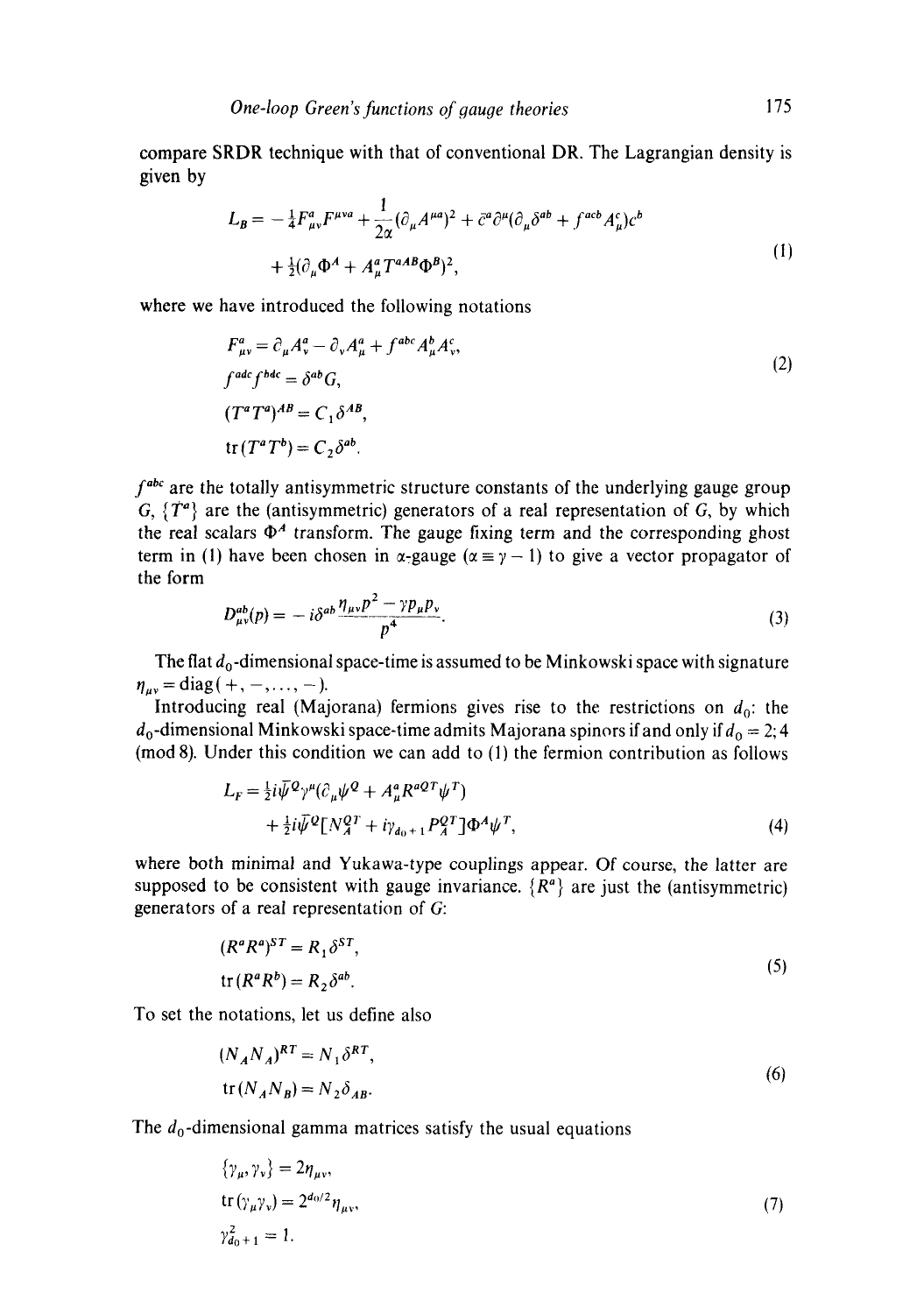compare SRDR technique with that of conventional DR. The Lagrangian density is given by

$$
L_{\mathcal{B}} = -\frac{1}{4} F_{\mu\nu}^a F^{\mu\nu a} + \frac{1}{2\alpha} (\partial_{\mu} A^{\mu a})^2 + \bar{c}^a \partial^{\mu} (\partial_{\mu} \delta^{ab} + f^{acb} A_{\mu}^c) c^b
$$
  
+  $\frac{1}{2} (\partial_{\mu} \Phi^A + A_{\mu}^a T^{aAB} \Phi^B)^2$ , (1)

where we have introduced the following notations

$$
F_{\mu\nu}^{a} = \partial_{\mu}A_{\nu}^{a} - \partial_{\nu}A_{\mu}^{a} + f^{abc}A_{\mu}^{b}A_{\nu}^{c},
$$
  
\n
$$
f^{adc}f^{bdc} = \delta^{ab}G,
$$
  
\n
$$
(T^{a}T^{a})^{AB} = C_{1}\delta^{AB},
$$
  
\n
$$
\text{tr}(T^{a}T^{b}) = C_{2}\delta^{ab}.
$$
  
\n(2)

*f*<sup>abc</sup> are the totally antisymmetric structure constants of the underlying gauge group G,  $\{T^a\}$  are the (antisymmetric) generators of a real representation of G, by which the real scalars  $\Phi^A$  transform. The gauge fixing term and the corresponding ghost term in (1) have been chosen in  $\alpha$ -gauge ( $\alpha = \gamma - 1$ ) to give a vector propagator of the form

$$
D_{\mu\nu}^{ab}(p) = -i\delta^{ab}\frac{\eta_{\mu\nu}p^2 - \gamma p_{\mu}p_{\nu}}{p^4}.
$$
 (3)

The flat  $d_0$ -dimensional space-time is assumed to be Minkowski space with signature  $\eta_{\mu\nu} = \text{diag}( +, -, \dots, - ).$ 

Introducing real (Majorana) fermions gives rise to the restrictions on  $d_0$ : the  $d_0$ -dimensional Minkowski space-time admits Majorana spinors if and only if  $d_0 = 2$ ; 4 ( $mod 8$ ). Under this condition we can add to  $(1)$  the fermion contribution as follows

$$
L_F = \frac{1}{2}i\bar{\psi}^{\mathcal{Q}}\gamma^{\mu}(\partial_{\mu}\psi^{\mathcal{Q}} + A_{\mu}^a R^{a\mathcal{Q}T}\psi^T) + \frac{1}{2}i\bar{\psi}^{\mathcal{Q}}[N_A^{\mathcal{Q}T} + i\gamma_{d_0+1} P_A^{\mathcal{Q}T}]\Phi^A\psi^T,
$$
\n(4)

where both minimal and Yukawa-type couplings appear. Of course, the latter are supposed to be consistent with gauge invariance.  $\{R^a\}$  are just the (antisymmetric) generators of a real representation of G:

$$
(R^a R^a)^{ST} = R_1 \delta^{ST},
$$
  
tr
$$
(R^a R^b) = R_2 \delta^{ab}.
$$
 (5)

To set the notations, let us define also

$$
(N_A N_A)^{RT} = N_1 \delta^{RT},
$$
  
tr(N\_A N\_B) = N\_2 \delta\_{AB}. (6)

The  $d_0$ -dimensional gamma matrices satisfy the usual equations

$$
\{\gamma_{\mu}, \gamma_{\nu}\} = 2\eta_{\mu\nu},
$$
  
tr $(\gamma_{\mu}\gamma_{\nu}) = 2^{d_0/2}\eta_{\mu\nu},$   
 $\gamma_{d_0+1}^2 = 1.$  (7)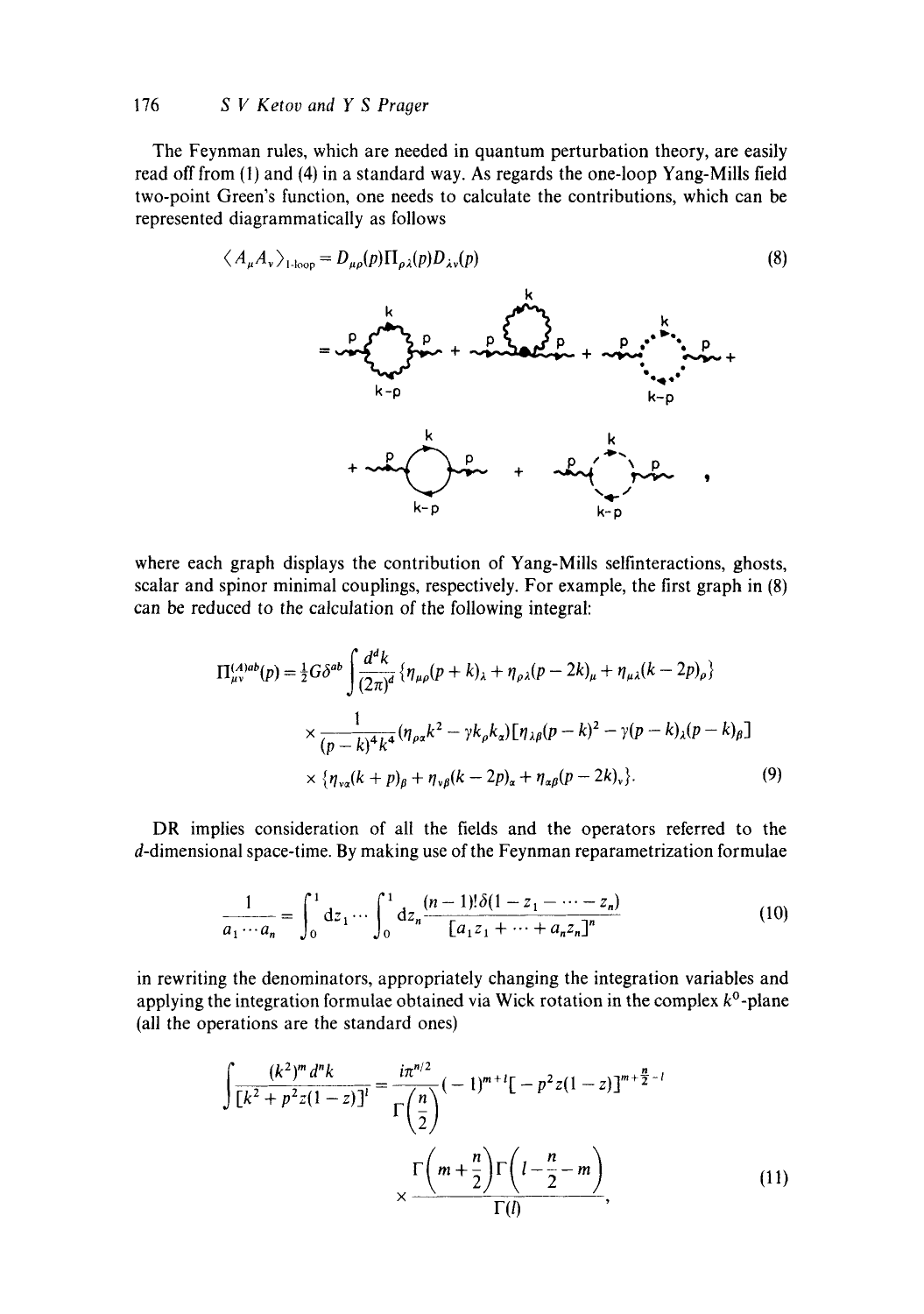#### 176 *S V Ketov and Y S Prager*

The Feynman rules, which are needed in quantum perturbation theory, are easily read off from (1) and (4) in a standard way. As regards the one-loop Yang-Mills field two-point Green's function, one needs to calculate the contributions, which can be represented diagrammatically as follows

$$
\langle A_{\mu} A_{\nu} \rangle_{1\text{-loop}} = D_{\mu\rho}(p) \Pi_{\rho\lambda}(p) D_{\lambda\nu}(p) \tag{8}
$$
\n
$$
= \int_{\mathbf{R}+\mathbf{p}}^{\mathbf{p}} \mathbf{P}_{\mu\rho}(p) \Pi_{\rho\lambda}(p) D_{\lambda\nu}(p) \tag{8}
$$
\n
$$
+ \int_{\mathbf{R}+\mathbf{p}}^{\mathbf{p}} \mathbf{P}_{\mu\rho}(p) \mathbf{P}_{\mu\rho}(p) \tag{8}
$$
\n
$$
+ \int_{\mathbf{R}+\mathbf{p}}^{\mathbf{p}} \mathbf{P}_{\mu\rho}(p) \mathbf{P}_{\mu\rho}(p) \tag{8}
$$

where each graph displays the contribution of Yang-Mills selfinteractions, ghosts, scalar and spinor minimal couplings, respectively. For example, the first graph in (8) can be reduced to the calculation of the following integral:

$$
\Pi_{\mu\nu}^{(A)ab}(p) = \frac{1}{2}G\delta^{ab} \int \frac{d^d k}{(2\pi)^d} \left\{ \eta_{\mu\rho}(p+k)_{\lambda} + \eta_{\rho\lambda}(p-2k)_{\mu} + \eta_{\mu\lambda}(k-2p)_{\rho} \right\}
$$
  
 
$$
\times \frac{1}{(p-k)^4 k^4} (\eta_{\rho\alpha}k^2 - \gamma k_{\rho}k_{\alpha}) [\eta_{\lambda\beta}(p-k)^2 - \gamma(p-k)_{\lambda}(p-k)_{\beta}]
$$
  
 
$$
\times \left\{ \eta_{\nu\alpha}(k+p)_{\beta} + \eta_{\nu\beta}(k-2p)_{\alpha} + \eta_{\alpha\beta}(p-2k)_{\nu} \right\}. \tag{9}
$$

DR implies consideration of all the fields and the operators referred to the d-dimensional space-time. By making use of the Feynman reparametrization formulae

$$
\frac{1}{a_1 \cdots a_n} = \int_0^1 dz_1 \cdots \int_0^1 dz_n \frac{(n-1)!\delta(1-z_1-\cdots-z_n)}{[a_1z_1+\cdots+a_nz_n]^n}
$$
(10)

in rewriting the denominators, appropriately changing the integration variables and applying the integration formulae obtained via Wick rotation in the complex  $k^0$ -plane (all the operations are the standard ones)

$$
\int \frac{(k^2)^m d^n k}{[k^2 + p^2 z (1 - z)]^l} = \frac{i\pi^{n/2}}{\Gamma(\frac{n}{2})} (-1)^{m+l} [-p^2 z (1 - z)]^{m+\frac{n}{2}-l}
$$
\n
$$
\times \frac{\Gamma(m+\frac{n}{2}) \Gamma(l-\frac{n}{2}-m)}{\Gamma(l)},
$$
\n(11)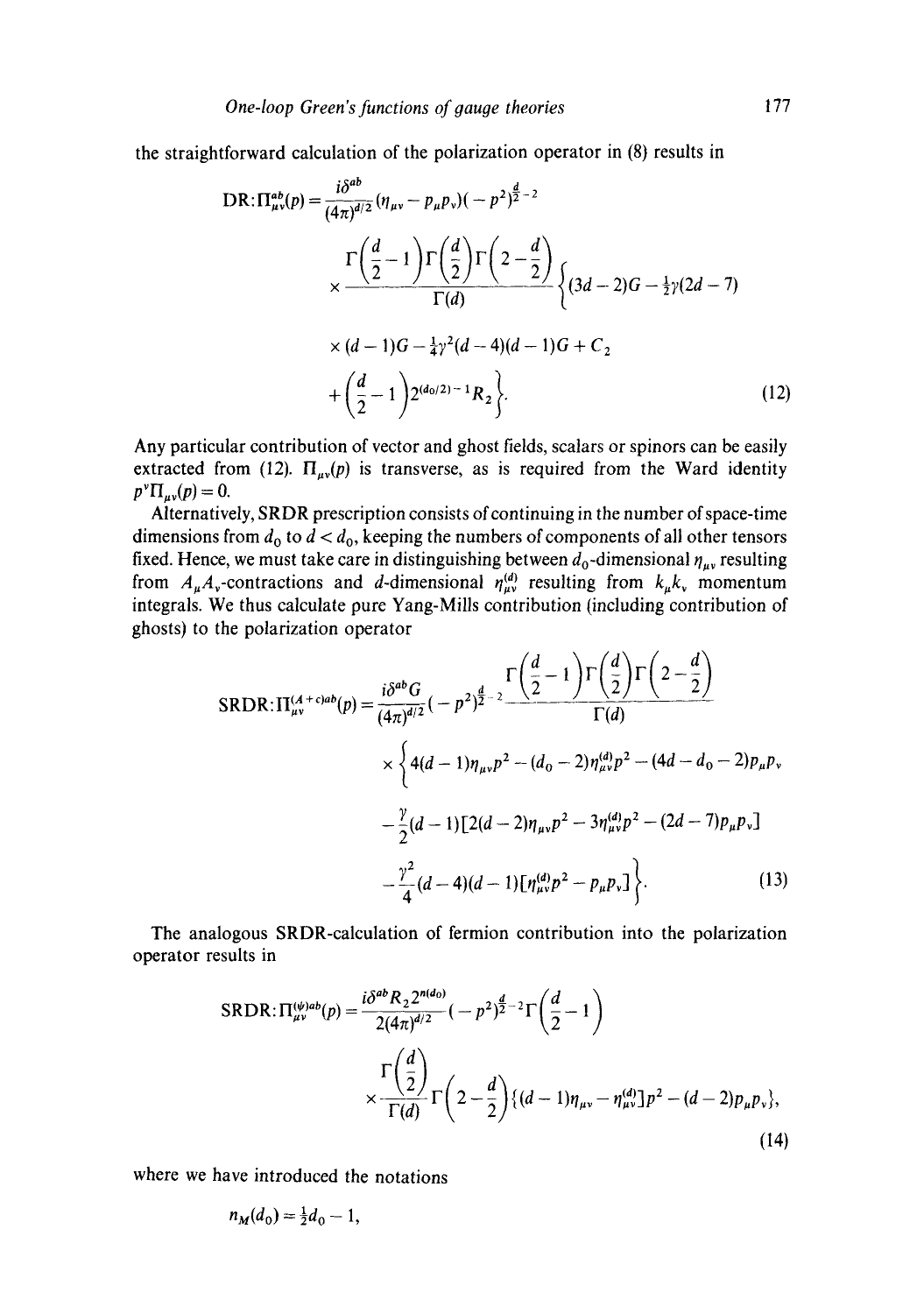the straightforward calculation of the polarization operator in (8) results in

$$
DR: \Pi_{\mu\nu}^{ab}(p) = \frac{i\delta^{ab}}{(4\pi)^{d/2}} (\eta_{\mu\nu} - p_{\mu}p_{\nu})(-p^2)^{\frac{d}{2}-2}
$$
  

$$
\times \frac{\Gamma\left(\frac{d}{2}-1\right)\Gamma\left(\frac{d}{2}\right)\Gamma\left(2-\frac{d}{2}\right)}{\Gamma(d)} \left\{(3d-2)G - \frac{1}{2}\gamma(2d-7)\right\}
$$
  

$$
\times (d-1)G - \frac{1}{4}\gamma^2(d-4)(d-1)G + C_2
$$
  

$$
+ \left(\frac{d}{2}-1\right)2^{(d_0/2)-1}R_2 \left\}
$$
 (12)

Any particular contribution of vector and ghost fields, scalars or spinors can be easily extracted from (12).  $\Pi_{\mu\nu}(p)$  is transverse, as is required from the Ward identity  $p^{\nu} \Pi_{\mu\nu}(p) = 0.$ 

Alternatively, SRDR prescription consists of continuing in the number of space-time dimensions from  $d_0$  to  $d < d_0$ , keeping the numbers of components of all other tensors fixed. Hence, we must take care in distinguishing between  $d_0$ -dimensional  $\eta_{\mu\nu}$  resulting from  $A_{\mu}A_{\nu}$ -contractions and *d*-dimensional  $\eta_{\mu\nu}^{(d)}$  resulting from  $k_{\mu}k_{\nu}$  momentum integrals. We thus calculate pure Yang-Mills contribution (including contribution of ghosts) to the polarization operator

$$
SRDR: \Pi_{\mu\nu}^{(A+c)ab}(p) = \frac{i\delta^{ab}G}{(4\pi)^{d/2}}(-p^2)^{\frac{d}{2}-2}\frac{\Gamma\left(\frac{d}{2}-1\right)\Gamma\left(\frac{d}{2}\right)\Gamma\left(2-\frac{d}{2}\right)}{\Gamma(d)}\\ \times \left\{4(d-1)\eta_{\mu\nu}p^2 - (d_0-2)\eta_{\mu\nu}^{(d)}p^2 - (4d-d_0-2)p_{\mu}p_{\nu}\right.\\ \left. - \frac{\gamma}{2}(d-1)\left[2(d-2)\eta_{\mu\nu}p^2 - 3\eta_{\mu\nu}^{(d)}p^2 - (2d-7)p_{\mu}p_{\nu}\right]\right.\\ \left. - \frac{\gamma^2}{4}(d-4)(d-1)\left[\eta_{\mu\nu}^{(d)}p^2 - p_{\mu}p_{\nu}\right]\right\}.\tag{13}
$$

The analogous SRDR-calculation of fermion contribution into the polarization operator results in

$$
SRDR: \Pi_{\mu\nu}^{(\psi)ab}(p) = \frac{i\delta^{ab}R_2 2^{n(d_0)}}{2(4\pi)^{d/2}}(-p^2)^{\frac{d}{2}-2}\Gamma\left(\frac{d}{2}-1\right)
$$

$$
\times \frac{\Gamma\left(\frac{d}{2}\right)}{\Gamma(d)}\Gamma\left(2-\frac{d}{2}\right)\{(d-1)\eta_{\mu\nu}-\eta_{\mu\nu}^{(d)}\}p^2 - (d-2)p_{\mu}p_{\nu}\},\tag{14}
$$

where we have introduced the notations

$$
n_M(d_0) = \frac{1}{2}d_0 - 1,
$$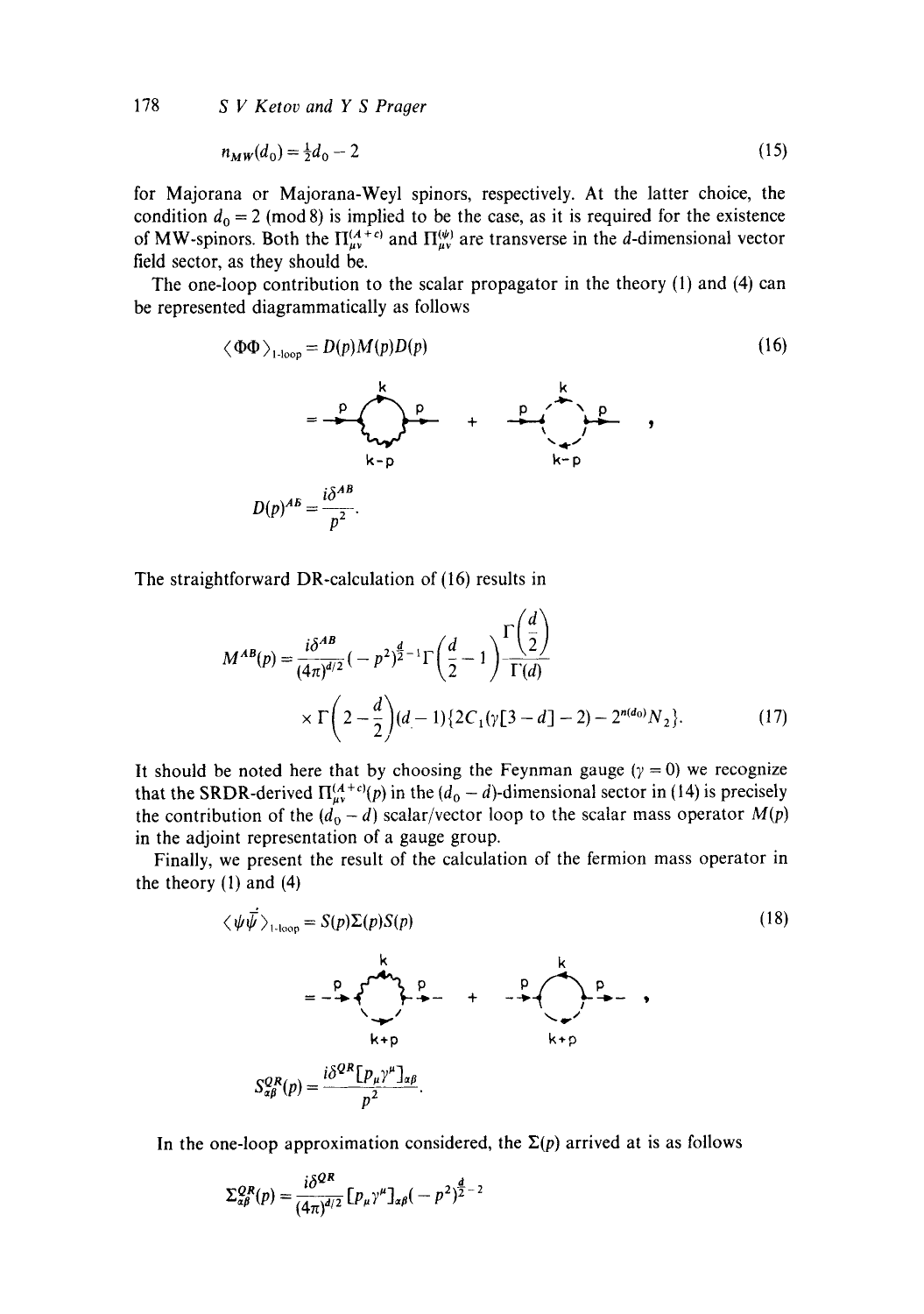178 *S V Ketov and Y S Prager* 

$$
n_{MW}(d_0) = \frac{1}{2}d_0 - 2\tag{15}
$$

for Majorana or Majorana-Weyl spinors, respectively. At the latter choice, the condition  $d_0 = 2 \pmod{8}$  is implied to be the case, as it is required for the existence of MW-spinors. Both the  $\Pi_{\mu\nu}^{(A+c)}$  and  $\Pi_{\mu\nu}^{(\psi)}$  are transverse in the d-dimensional vector field sector, as they should be.

The one-loop contribution to the scalar propagator in the theory (1) and (4) can be represented diagrammatically as follows

$$
\langle \Phi \Phi \rangle_{1\text{-loop}} = D(p)M(p)D(p)
$$
\n
$$
= \frac{P}{\sum_{k=p}} \left( \frac{k}{\sum_{k=p}} \right) + \frac{P}{\sum_{k=p}} \left( \frac{k}{\sum_{k=p}} \right)
$$
\n
$$
D(p)^{AB} = \frac{i\delta^{AB}}{p^2}.
$$
\n(16)

The straightforward DR-calculation of (16) results in

$$
M^{AB}(p) = \frac{i\delta^{AB}}{(4\pi)^{d/2}}\left(-p^2\right)^{\frac{d}{2}-1}\Gamma\left(\frac{d}{2}-1\right)\frac{\Gamma\left(\frac{d}{2}\right)}{\Gamma(d)}
$$
  
 
$$
\times \Gamma\left(2-\frac{d}{2}\right)(d-1)\left\{2C_1(\gamma[3-d]-2)-2^{n(d_0)}N_2\right\}.
$$
 (17)

It should be noted here that by choosing the Feynman gauge ( $\gamma = 0$ ) we recognize that the SRDR-derived  $\Pi_{\mu\nu}^{(A+c)}(p)$  in the  $(d_0 - d)$ -dimensional sector in (14) is precisely the contribution of the  $(d_0 - d)$  scalar/vector loop to the scalar mass operator  $M(p)$ in the adjoint representation of a gauge group.

Finally, we present the result of the calculation of the fermion mass operator in the theory  $(1)$  and  $(4)$ 

$$
\langle \psi \overline{\psi} \rangle_{1-loop} = S(p) \Sigma(p) S(p)
$$
\n
$$
= -\frac{p}{\sqrt{2\pi}} \sum_{k+p}^{k} \frac{p}{k+p} + \frac{p}{\sqrt{2\pi}} \sum_{k+p}^{k} \frac{p}{k+p}
$$
\n
$$
S_{\alpha\beta}^{QR}(p) = \frac{i\delta^{QR} [p_{\mu}\gamma^{\mu}]_{\alpha\beta}}{p^{2}}.
$$
\n(18)

In the one-loop approximation considered, the  $\Sigma(p)$  arrived at is as follows

$$
\Sigma_{\alpha\beta}^{QR}(p) = \frac{i\delta^{QR}}{(4\pi)^{d/2}} \left[ p_{\mu} \gamma^{\mu} \right]_{\alpha\beta} \left( -p^2 \right)^{\frac{d}{2}-2}
$$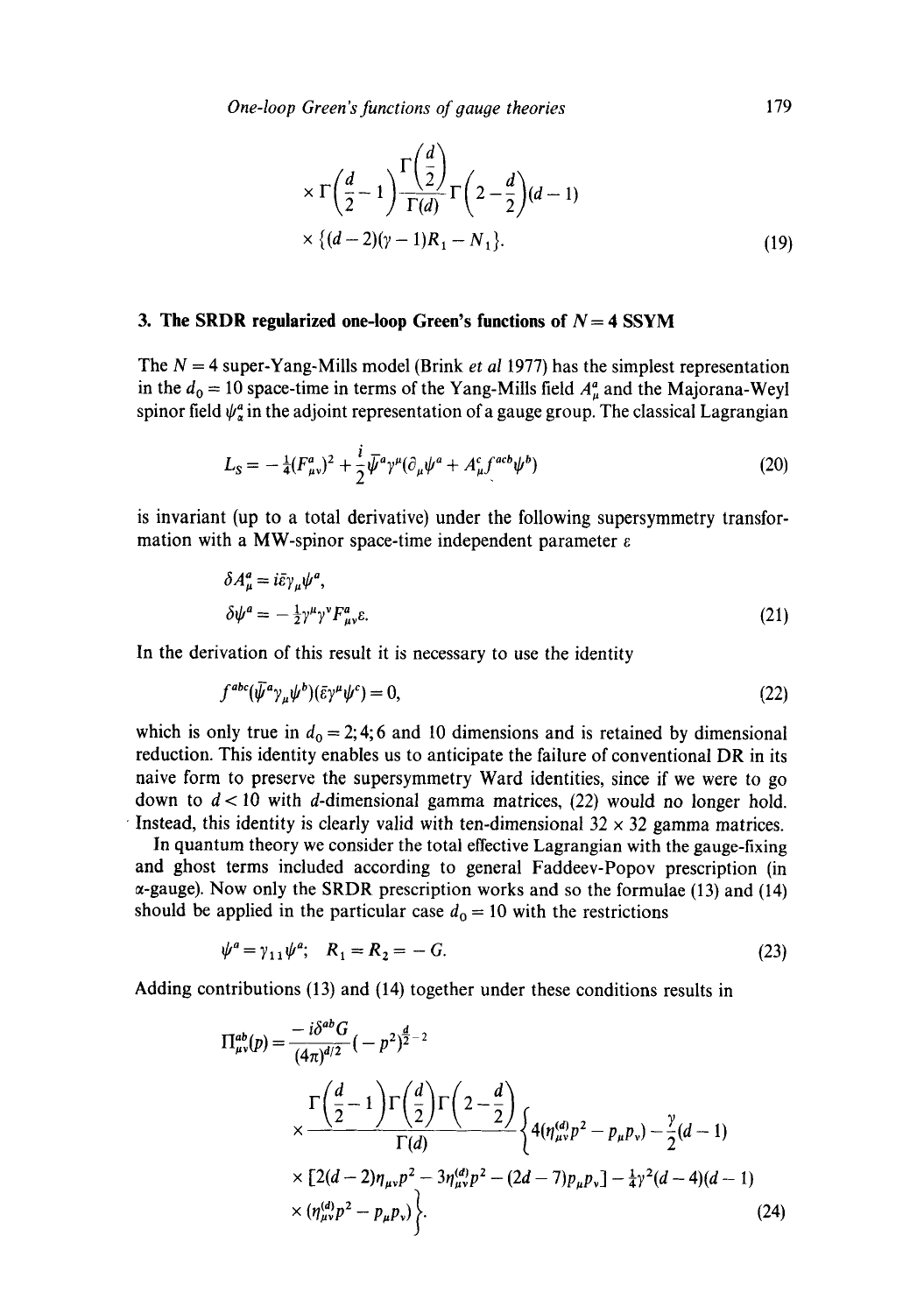$$
\times \Gamma\left(\frac{d}{2}-1\right) \frac{\Gamma\left(\frac{d}{2}\right)}{\Gamma(d)} \Gamma\left(2-\frac{d}{2}\right) (d-1)
$$
  
 
$$
\times \left\{(d-2)(\gamma-1)R_1 - N_1\right\}.
$$
 (19)

### **3. The SRDR regularized one-loop Green's functions of**  $N = 4$  **SSYM**

The N = 4 super-Yang-Mills model (Brink *et al* 1977) has the simplest representation in the  $d_0 = 10$  space-time in terms of the Yang-Mills field  $A^a_\mu$  and the Majorana-Weyl spinor field  $\psi_{\sigma}^{a}$  in the adjoint representation of a gauge group. The classical Lagrangian

$$
L_{\rm S} = -\frac{1}{4}(F^a_{\mu\nu})^2 + \frac{i}{2}\bar{\psi}^a\gamma^\mu(\partial_\mu\psi^a + A^c_\mu f^{acb}\psi^b)
$$
 (20)

is invariant (up to a total derivative) under the following supersymmetry transformation with a MW-spinor space-time independent parameter  $\varepsilon$ 

$$
\delta A^a_\mu = i \bar{\varepsilon} \gamma_\mu \psi^a,
$$
  
\n
$$
\delta \psi^a = -\frac{1}{2} \gamma^\mu \gamma^\nu F^a_{\mu\nu} \varepsilon.
$$
\n(21)

In the derivation of this result it is necessary to use the identity

$$
f^{abc}(\bar{\psi}^a \gamma_\mu \psi^b)(\bar{\epsilon} \gamma^\mu \psi^c) = 0, \tag{22}
$$

which is only true in  $d_0 = 2, 4, 6$  and 10 dimensions and is retained by dimensional reduction. This identity enables us to anticipate the failure of conventional DR in its naive form to preserve the supersymmetry Ward identities, since if we were to go down to  $d < 10$  with d-dimensional gamma matrices, (22) would no longer hold. Instead, this identity is clearly valid with ten-dimensional  $32 \times 32$  gamma matrices.

In quantum theory we consider the total effective Lagrangian with the gauge-fixing and ghost terms included according to general Faddeev-Popov prescription (in  $\alpha$ -gauge). Now only the SRDR prescription works and so the formulae (13) and (14) should be applied in the particular case  $d_0 = 10$  with the restrictions

$$
\psi^a = \gamma_{11} \psi^a; \quad R_1 = R_2 = -G. \tag{23}
$$

Adding contributions (13) and (14) together under these conditions results in

$$
\Pi_{\mu\nu}^{ab}(p) = \frac{-i\delta^{ab}G}{(4\pi)^{d/2}}(-p^2)^{\frac{d}{2}-2}
$$
\n
$$
\times \frac{\Gamma\left(\frac{d}{2}-1\right)\Gamma\left(\frac{d}{2}\right)\Gamma\left(2-\frac{d}{2}\right)}{\Gamma(d)}\left\{4(\eta_{\mu\nu}^{(d)}p^2 - p_{\mu}p_{\nu}) - \frac{\gamma}{2}(d-1)\right\}
$$
\n
$$
\times \left[2(d-2)\eta_{\mu\nu}p^2 - 3\eta_{\mu\nu}^{(d)}p^2 - (2d-7)p_{\mu}p_{\nu}\right] - \frac{1}{4}\gamma^2(d-4)(d-1)\times(\eta_{\mu\nu}^{(d)}p^2 - p_{\mu}p_{\nu})\left.\right\}.
$$
\n(24)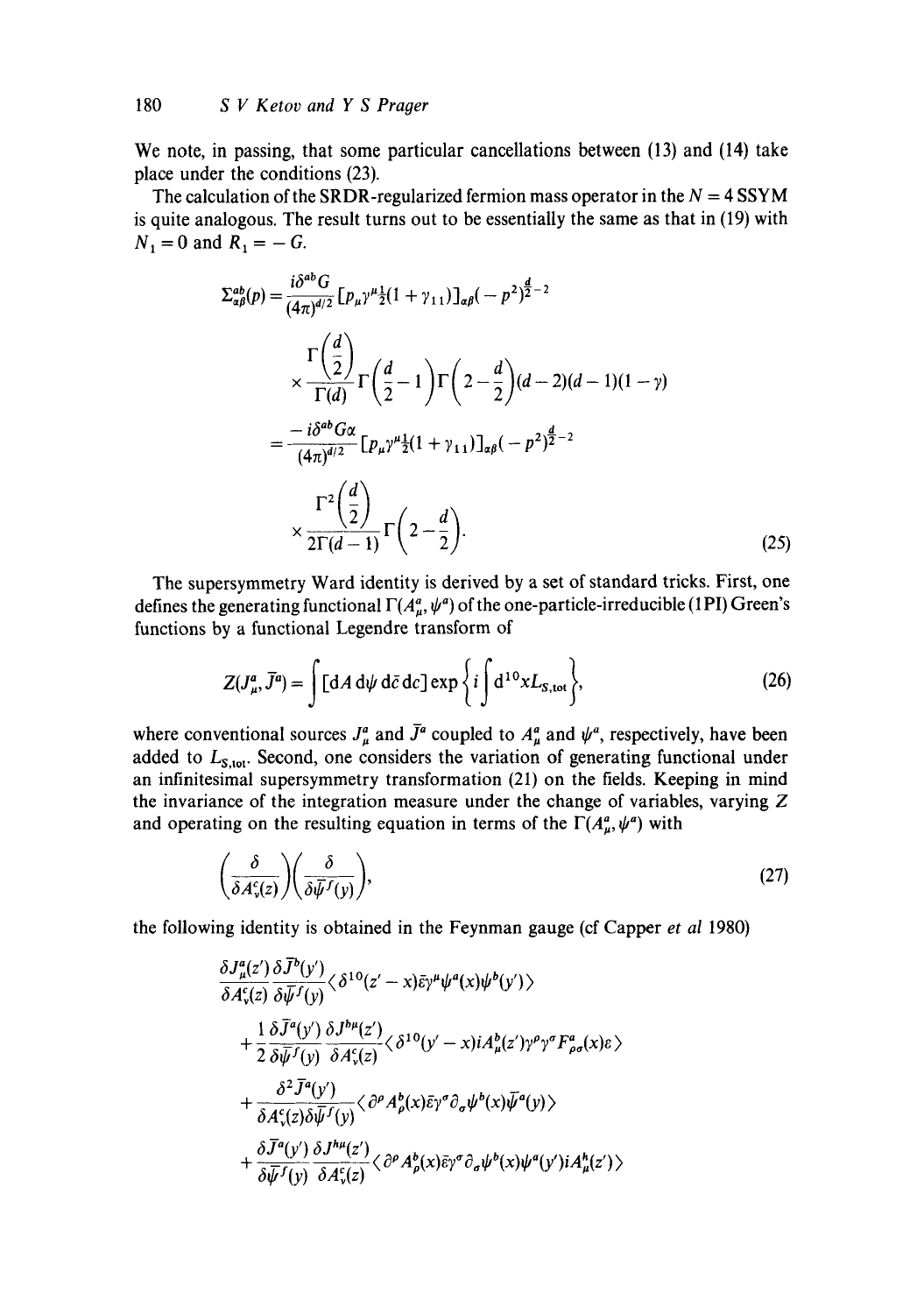We note, in passing, that some particular cancellations between (13) and (14) take place under the conditions (23).

The calculation of the SRDR-regularized fermion mass operator in the  $N = 4$  SSYM is quite analogous. The result turns out to be essentially the same as that in (19) with  $N_1 = 0$  and  $R_1 = -G$ .

$$
\Sigma_{\alpha\beta}^{ab}(p) = \frac{i\delta^{ab}G}{(4\pi)^{d/2}} \left[ p_{\mu} \gamma^{\mu} \frac{1}{2} (1 + \gamma_{11}) \right]_{\alpha\beta} (-p^2)^{\frac{d}{2} - 2}
$$
\n
$$
\times \frac{\Gamma\left(\frac{d}{2}\right)}{\Gamma(d)} \Gamma\left(\frac{d}{2} - 1\right) \Gamma\left(2 - \frac{d}{2}\right) (d - 2)(d - 1)(1 - \gamma)
$$
\n
$$
= \frac{-i\delta^{ab}G\alpha}{(4\pi)^{d/2}} \left[ p_{\mu} \gamma^{\mu} \frac{1}{2} (1 + \gamma_{11}) \right]_{\alpha\beta} (-p^2)^{\frac{d}{2} - 2}
$$
\n
$$
\frac{\Gamma^2\left(\frac{d}{2}\right)}{2\Gamma(d - 1)} \Gamma\left(2 - \frac{d}{2}\right). \tag{25}
$$

The supersymmetry Ward identity is derived by a set of standard tricks. First, one defines the generating functional  $\Gamma(A^a_\mu, \psi^a)$  of the one-particle-irreducible (1PI) Green's functions by a functional Legendre transform of

$$
Z(J^a_\mu, \bar{J}^a) = \int [dA \, d\psi \, d\bar{c} \, dc] \exp\left\{i \int d^{10} x L_{S, \text{tot}}\right\},\tag{26}
$$

where conventional sources  $J^a_\mu$  and  $\bar{J}^a$  coupled to  $A^a_\mu$  and  $\psi^a$ , respectively, have been added to  $L_{S, tot}$ . Second, one considers the variation of generating functional under an infinitesimal supersymmetry transformation (21) on the fields. Keeping in mind the invariance of the integration measure under the change of variables, varying Z and operating on the resulting equation in terms of the  $\Gamma(A^a_\mu, \psi^a)$  with

$$
\left(\frac{\delta}{\delta A_{\nu}^c(z)}\right)\left(\frac{\delta}{\delta \bar{\psi}^f(y)}\right),\tag{27}
$$

the following identity is obtained in the Feynman gauge (cf Capper *et al* 1980)

$$
\frac{\delta J_{\mu}^{a}(z')}{\delta A_{\nu}^{c}(z)} \frac{\delta \overline{J}^{b}(y')}{\delta \overline{\psi}^{f}(y)} \langle \delta^{10}(z'-x) \overline{\epsilon} \gamma^{\mu} \psi^{a}(x) \psi^{b}(y') \rangle \n+ \frac{1}{2} \frac{\delta \overline{J}^{a}(y')}{\delta \overline{\psi}^{f}(y)} \frac{\delta J^{b\mu}(z')}{\delta A_{\nu}^{c}(z)} \langle \delta^{10}(y'-x) i A_{\mu}^{b}(z') \gamma^{\rho} \gamma^{\sigma} F_{\rho \sigma}^{a}(x) \epsilon \rangle \n+ \frac{\delta^{2} \overline{J}^{a}(y')}{\delta A_{\nu}^{c}(z) \delta \overline{\psi}^{f}(y)} \langle \partial^{\rho} A_{\rho}^{b}(x) \overline{\epsilon} \gamma^{\sigma} \partial_{\sigma} \psi^{b}(x) \overline{\psi}^{a}(y) \rangle \n+ \frac{\delta \overline{J}^{a}(y')}{\delta \overline{J}^{f}(y)} \frac{\delta J^{b\mu}(z')}{\delta A_{\nu}^{c}(z)} \langle \partial^{\rho} A_{\rho}^{b}(x) \overline{\epsilon} \gamma^{\sigma} \partial_{\sigma} \psi^{b}(x) \psi^{a}(y') i A_{\mu}^{h}(z') \rangle
$$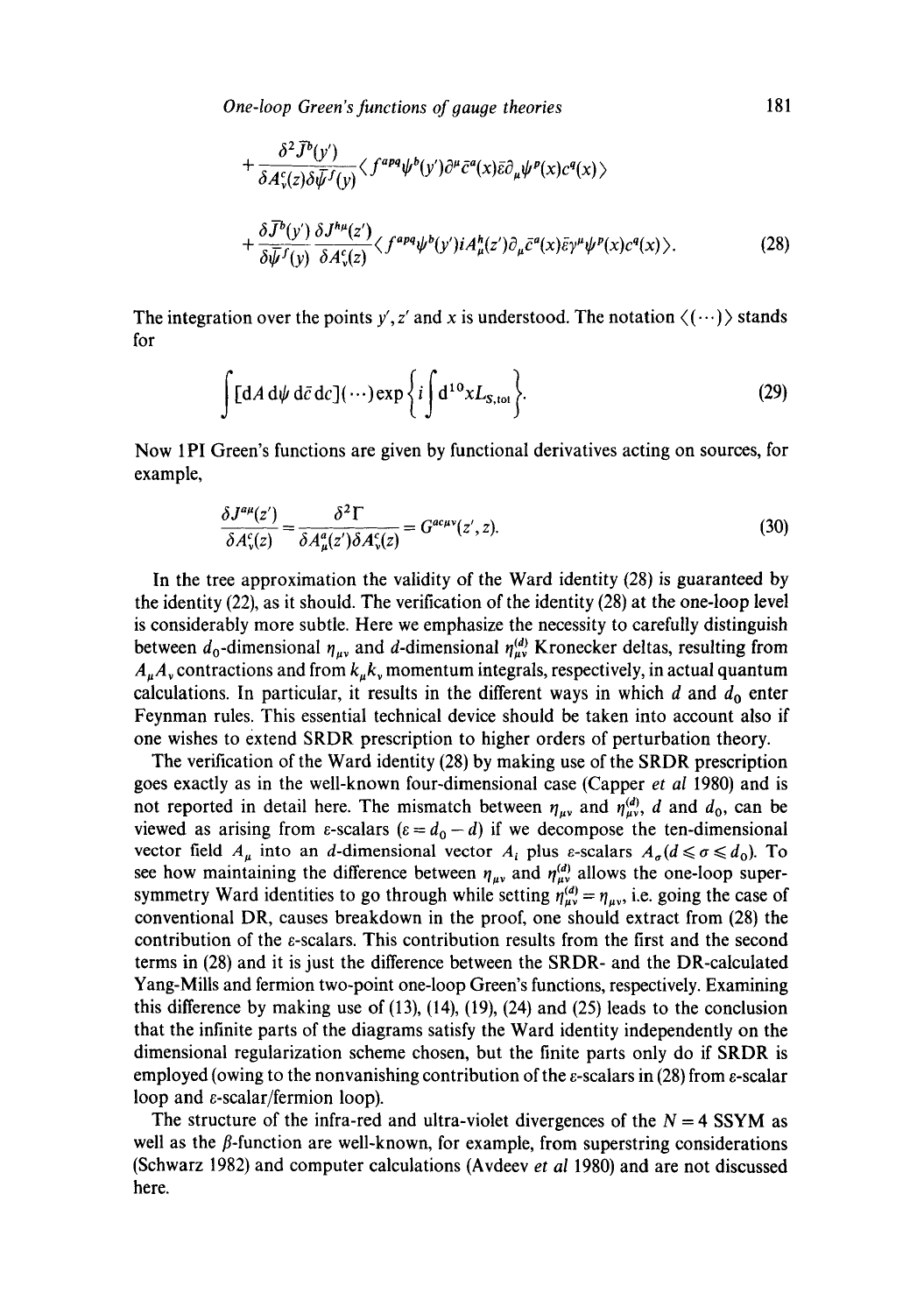*One-loop Green's functions of gauge theories* 181

$$
+\frac{\delta^2 \bar{J}^b(y')}{\delta A^c_{\nu}(z)\delta \bar{\psi}^f(y)} \langle f^{apq}\psi^b(y')\partial^{\mu}\bar{c}^a(x)\bar{\epsilon}\partial_{\mu}\psi^p(x)c^q(x)\rangle +\frac{\delta \bar{J}^b(y')}{\delta \bar{\psi}^f(y)}\frac{\delta J^{h\mu}(z')}{\delta A^c_{\nu}(z)} \langle f^{apq}\psi^b(y')iA^h_{\mu}(z')\partial_{\mu}\bar{c}^a(x)\bar{\epsilon}\gamma^{\mu}\psi^p(x)c^q(x)\rangle.
$$
 (28)

The integration over the points y', z' and x is understood. The notation  $\langle \cdots \rangle$  stands for

$$
\int [dA d\psi d\bar{c} dc] (\cdots) \exp \left\{ i \int d^{10}x L_{S, tot} \right\}.
$$
 (29)

Now 1PI Green's functions are given by functional derivatives acting on sources, for example,

$$
\frac{\delta J^{a\mu}(z')}{\delta A_{\nu}^{c}(z)} = \frac{\delta^{2} \Gamma}{\delta A_{\mu}^{a}(z') \delta A_{\nu}^{c}(z)} = G^{ac\mu\nu}(z', z). \tag{30}
$$

In the tree approximation the validity of the Ward identity (28) is guaranteed by the identity (22), as it should. The verification of the identity (28) at the one-loop level is considerably more subtle. Here we emphasize the necessity to carefully distinguish between  $d_0$ -dimensional  $\eta_{uv}$  and d-dimensional  $\eta_{uv}^{(d)}$  Kronecker deltas, resulting from  $A_uA_v$  contractions and from  $k_u k_v$  momentum integrals, respectively, in actual quantum calculations. In particular, it results in the different ways in which  $d$  and  $d_0$  enter Feynman rules. This essential technical device should be taken into account also if one wishes to extend SRDR prescription to higher orders of perturbation theory.

The verification of the Ward identity (28) by making use of the SRDR prescription goes exactly as in the well-known four-dimensional case (Capper *et al* 1980) and is not reported in detail here. The mismatch between  $\eta_{\mu\nu}$  and  $\eta_{\mu\nu}^{(d)}$ , d and  $d_0$ , can be viewed as arising from  $\varepsilon$ -scalars  $(\varepsilon = d_0 - d)$  if we decompose the ten-dimensional vector field  $A_{\mu}$  into an *d*-dimensional vector  $A_i$  plus *ε*-scalars  $A_{\sigma}(d \le \sigma \le d_0)$ . To see how maintaining the difference between  $\eta_{\mu\nu}$  and  $\eta_{\mu\nu}^{(d)}$  allows the one-loop supersymmetry Ward identities to go through while setting  $\eta_{\mu\nu}^{(d)} = \eta_{\mu\nu}$ , i.e. going the case of conventional DR, causes breakdown in the proof, one should extract from (28) the contribution of the e-scalars. This contribution results from the first and the second terms in (28) and it is just the difference between the SRDR- and the DR-calculated Yang-Mills and fermion two-point one-loop Green's functions, respectively. Examining this difference by making use of (13), (14), (19), (24) and (25) leads to the conclusion that the infinite parts of the diagrams satisfy the Ward identity independently on the dimensional regularization scheme chosen, but the finite parts only do if SRDR is employed (owing to the nonvanishing contribution of the  $\varepsilon$ -scalars in (28) from  $\varepsilon$ -scalar loop and e-scalar/fermion loop).

The structure of the infra-red and ultra-violet divergences of the  $N = 4$  SSYM as well as the  $\beta$ -function are well-known, for example, from superstring considerations (Schwarz 1982) and computer calculations (Avdeev *et al* 1980) and are not discussed here.